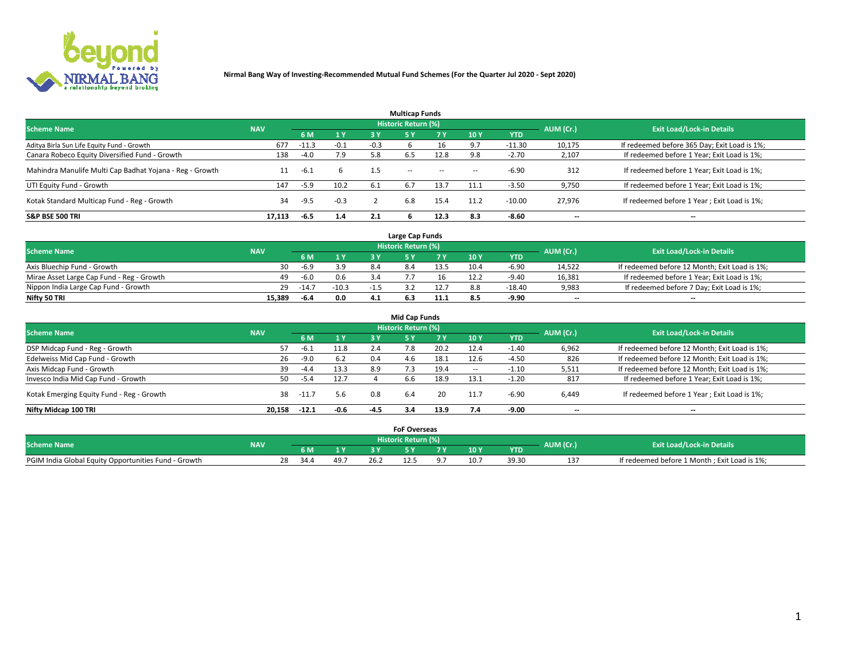

|                                                          |            |         |        |        | <b>Multicap Funds</b> |           |                          |            |           |                                              |
|----------------------------------------------------------|------------|---------|--------|--------|-----------------------|-----------|--------------------------|------------|-----------|----------------------------------------------|
| <b>Scheme Name</b>                                       | <b>NAV</b> |         |        |        | Historic Return (%)   |           |                          |            | AUM (Cr.) | <b>Exit Load/Lock-in Details</b>             |
|                                                          |            | 6 M     | 1 Y    | 3 Y    | <b>5Y</b>             | <b>7Y</b> | 10Y                      | <b>YTD</b> |           |                                              |
| Aditya Birla Sun Life Equity Fund - Growth               | 677        | $-11.3$ | $-0.1$ | $-0.3$ |                       |           |                          | $-11.30$   | 10,175    | If redeemed before 365 Day; Exit Load is 1%; |
| Canara Robeco Equity Diversified Fund - Growth           | 138        | $-4.0$  | 7.9    | 5.8    | 6.5                   | 12.8      |                          | $-2.70$    | 2,107     | If redeemed before 1 Year; Exit Load is 1%;  |
| Mahindra Manulife Multi Cap Badhat Yojana - Reg - Growth | 11         | $-6.1$  | b.     | 1.5    | $\sim$ $-$            | $\sim$    | $\overline{\phantom{a}}$ | $-6.90$    | 312       | If redeemed before 1 Year; Exit Load is 1%;  |
| UTI Equity Fund - Growth                                 | 147        | $-5.9$  | 10.2   | -6.1   |                       | 13.7      | 11.1                     | $-3.50$    | 9,750     | If redeemed before 1 Year; Exit Load is 1%;  |
| Kotak Standard Multicap Fund - Reg - Growth              | 34         | -9.5    | $-0.3$ |        | 6.8                   | 15.4      | 11.2                     | $-10.00$   | 27.976    | If redeemed before 1 Year; Exit Load is 1%;  |
| <b>S&amp;P BSE 500 TRI</b>                               | 17.113     | $-6.5$  | 1.4    | 2.1    |                       | 12.3      | 8.3                      | $-8.60$    | --        | $- -$                                        |

|                                           |            |         |              |       | Large Cap Funds     |      |      |            |                          |                                               |
|-------------------------------------------|------------|---------|--------------|-------|---------------------|------|------|------------|--------------------------|-----------------------------------------------|
| <b>Scheme Name</b>                        | <b>NAV</b> |         |              |       | Historic Return (%) |      |      |            | AUM (Cr.)                | <b>Exit Load/Lock-in Details</b>              |
|                                           |            | 6 M     | $\sqrt{1}$ Y |       |                     |      | 10 Y | <b>YTD</b> |                          |                                               |
| Axis Bluechip Fund - Growth               | 30         | $-6.9$  | 3.9          |       |                     | 13.5 | 10.4 | $-6.90$    | 14,522                   | If redeemed before 12 Month; Exit Load is 1%; |
| Mirae Asset Large Cap Fund - Reg - Growth | 49         | $-6.0$  | 0.6          |       |                     |      |      | $-9.40$    | 16,381                   | If redeemed before 1 Year; Exit Load is 1%;   |
| Nippon India Large Cap Fund - Growth      | 29         | $-14.7$ | $-10.3$      | $-15$ |                     | 12.7 | 8.8  | $-18.40$   | 9,983                    | If redeemed before 7 Day; Exit Load is 1%;    |
| Nifty 50 TRI                              | 15.389     | -6.4    | 0.0          | 4.1   | 6.3                 | 11.1 | 8.5  | -9.90      | $\overline{\phantom{a}}$ | $- -$                                         |

| <b>Mid Cap Funds</b>                      |            |         |        |        |                            |       |            |            |                          |                                               |  |  |  |
|-------------------------------------------|------------|---------|--------|--------|----------------------------|-------|------------|------------|--------------------------|-----------------------------------------------|--|--|--|
| <b>Scheme Name</b>                        | <b>NAV</b> |         |        |        | <b>Historic Return (%)</b> |       |            |            | AUM (Cr.)                | <b>Exit Load/Lock-in Details</b>              |  |  |  |
|                                           |            | 6 M     | 1 Y    | 3 Y    |                            | 7 V . | <b>10Y</b> | <b>YTD</b> |                          |                                               |  |  |  |
| DSP Midcap Fund - Reg - Growth            |            | -6.1    | 11.8   | 2.4    | 7.8                        | 20.2  | 12.4       | $-1.40$    | 6,962                    | If redeemed before 12 Month; Exit Load is 1%; |  |  |  |
| Edelweiss Mid Cap Fund - Growth           | 26         | $-9.0$  | 6.2    | 0.4    | 4.6                        | 18.1  | 12.6       | $-4.50$    | 826                      | If redeemed before 12 Month; Exit Load is 1%; |  |  |  |
| Axis Midcap Fund - Growth                 | 39         | $-4.4$  | 13.3   | 8.9    |                            | 19.4  |            | -1.10      | 5,511                    | If redeemed before 12 Month; Exit Load is 1%; |  |  |  |
| Invesco India Mid Cap Fund - Growth       | 50         | $-5.4$  | 12.7   |        | 6.6                        | 18.9  | 13.1       | $-1.20$    | 817                      | If redeemed before 1 Year; Exit Load is 1%;   |  |  |  |
| Kotak Emerging Equity Fund - Reg - Growth | 38         | -11.7   | 5.6    | 0.8    | 6.4                        | 20    | 11.7       | -6.90      | 6,449                    | If redeemed before 1 Year; Exit Load is 1%;   |  |  |  |
| Nifty Midcap 100 TRI                      | 20.158     | $-12.1$ | $-0.6$ | $-4.5$ | 3.4                        | 13.9  |            | -9.00      | $\overline{\phantom{a}}$ | $\overline{\phantom{a}}$                      |  |  |  |

|                                                      |            |            |      |      | <b>FoF Overseas</b>        |     |            |           |                                              |
|------------------------------------------------------|------------|------------|------|------|----------------------------|-----|------------|-----------|----------------------------------------------|
| <b>Scheme Name</b>                                   | <b>NAV</b> |            |      |      | <b>Historic Return (%)</b> |     |            | AUM (Cr.) | <b>Exit Load/Lock-in Details</b>             |
|                                                      |            | 6 M        |      |      |                            | 10Y | <b>YTD</b> |           |                                              |
| PGIM India Global Equity Opportunities Fund - Growth |            | 28<br>34.4 | 49.7 | 26.2 |                            |     |            |           | If redeemed before 1 Month; Exit Load is 1%; |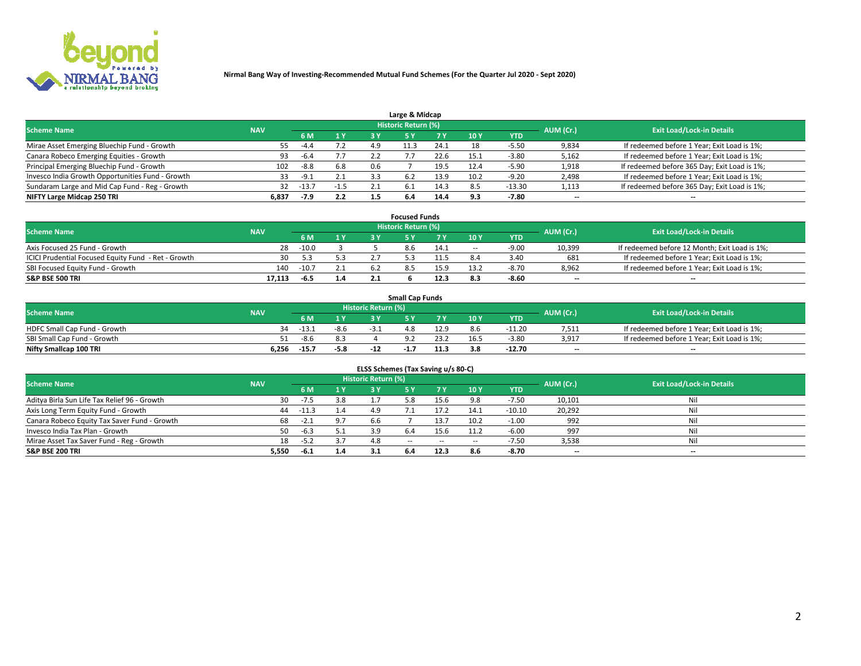

| Large & Midcap                                   |            |         |        |      |                     |      |      |            |                          |                                              |  |  |  |  |
|--------------------------------------------------|------------|---------|--------|------|---------------------|------|------|------------|--------------------------|----------------------------------------------|--|--|--|--|
| <b>Scheme Name</b>                               | <b>NAV</b> |         |        |      | Historic Return (%) |      |      |            | AUM (Cr.)                | <b>Exit Load/Lock-in Details</b>             |  |  |  |  |
|                                                  |            | 6 M     | 1 Y    | 3 Y  |                     | 7 V  | 10Y  | <b>YTD</b> |                          |                                              |  |  |  |  |
| Mirae Asset Emerging Bluechip Fund - Growth      | 55         | $-4.4$  | 7.2    | 4.9  |                     | 24.1 | 18   | $-5.50$    | 9,834                    | If redeemed before 1 Year; Exit Load is 1%;  |  |  |  |  |
| Canara Robeco Emerging Equities - Growth         | 93         | $-6.4$  |        |      |                     | 22.6 | 15.1 | $-3.80$    | 5,162                    | If redeemed before 1 Year; Exit Load is 1%;  |  |  |  |  |
| Principal Emerging Bluechip Fund - Growth        | 102        | $-8.8$  | 6.8    | 0.6  |                     | 19.5 | 12.4 | $-5.90$    | 1,918                    | If redeemed before 365 Day; Exit Load is 1%; |  |  |  |  |
| Invesco India Growth Opportunities Fund - Growth | 33         | $-9.1$  | 2.1    | 3.3  | 6.2                 | 13.9 | 10.2 | $-9.20$    | 2,498                    | If redeemed before 1 Year; Exit Load is 1%;  |  |  |  |  |
| Sundaram Large and Mid Cap Fund - Reg - Growth   | 32         | $-13.7$ | $-1.5$ | 2. L | $b_{1+}$            | 14.3 | 8.5  | $-13.30$   | 1,113                    | If redeemed before 365 Day; Exit Load is 1%; |  |  |  |  |
| NIFTY Large Midcap 250 TRI                       | 6.837      | $-7.9$  | 2.2    |      | 6.4                 | 14.4 |      | -7.80      | $\overline{\phantom{a}}$ | $- -$                                        |  |  |  |  |

|                                                     |            |         |     | <b>Focused Funds</b>       |      |        |            |                          |                                               |
|-----------------------------------------------------|------------|---------|-----|----------------------------|------|--------|------------|--------------------------|-----------------------------------------------|
| <b>Scheme Name</b>                                  | <b>NAV</b> |         |     | <b>Historic Return (%)</b> |      |        |            | AUM (Cr.)                | <b>Exit Load/Lock-in Details</b>              |
|                                                     |            | 6 M     | 1 V |                            |      | 10 Y   | <b>YTD</b> |                          |                                               |
| Axis Focused 25 Fund - Growth                       | 28         | $-10.0$ |     | 8.6                        | 14.1 | $\sim$ | $-9.00$    | 10,399                   | If redeemed before 12 Month; Exit Load is 1%; |
| ICICI Prudential Focused Equity Fund - Ret - Growth | 30         |         | 5.3 |                            |      |        | 3.40       | 681                      | If redeemed before 1 Year; Exit Load is 1%;   |
| SBI Focused Equity Fund - Growth                    | 140        | $-10.7$ | 2.1 |                            | 15.9 |        | -8.70      | 8,962                    | If redeemed before 1 Year; Exit Load is 1%;   |
| S&P BSE 500 TRI                                     | 17.113     | -6.5    | 1.4 |                            |      |        | $-8.60$    | $\overline{\phantom{a}}$ | $- -$                                         |

| <b>Small Cap Funds</b>       |            |         |        |                     |        |      |     |            |           |                                             |  |  |  |
|------------------------------|------------|---------|--------|---------------------|--------|------|-----|------------|-----------|---------------------------------------------|--|--|--|
| <b>Scheme Name</b>           | <b>NAV</b> |         |        | Historic Return (%) |        |      |     |            | AUM (Cr.) | <b>Exit Load/Lock-in Details</b>            |  |  |  |
|                              |            | 6 M     | 1 Y    |                     |        |      | 10Y | <b>YTD</b> |           |                                             |  |  |  |
| HDFC Small Cap Fund - Growth | 34         | $-13.1$ | $-8.6$ |                     | 4.8    | 12.9 | 8.6 | $-11.20$   | 7,511     | If redeemed before 1 Year; Exit Load is 1%; |  |  |  |
| SBI Small Cap Fund - Growth  |            | $-8.6$  | 8.3    |                     |        |      |     | $-3.80$    | 3,917     | If redeemed before 1 Year; Exit Load is 1%; |  |  |  |
| Nifty Smallcap 100 TRI       | 6.256      | $-15.7$ | $-5.8$ | -14                 | $-1.7$ | 11.3 | 3.8 | -12.70     | $- -$     | $- -$                                       |  |  |  |

| ELSS Schemes (Tax Saving u/s 80-C)           |            |         |     |                            |            |        |                          |            |                          |                                  |  |  |  |
|----------------------------------------------|------------|---------|-----|----------------------------|------------|--------|--------------------------|------------|--------------------------|----------------------------------|--|--|--|
| <b>Scheme Name</b>                           | <b>NAV</b> |         |     | <b>Historic Return (%)</b> |            |        |                          |            | AUM (Cr.)                | <b>Exit Load/Lock-in Details</b> |  |  |  |
|                                              |            | - 6 M   | 1Y  | 73 Y                       | <b>5Y</b>  | 7 Y    | 10 Y                     | <b>YTD</b> |                          |                                  |  |  |  |
| Aditya Birla Sun Life Tax Relief 96 - Growth | 30         | $-7.5$  | 3.8 |                            | ଃ          | 15.6   |                          | $-7.50$    | 10,101                   | Nil                              |  |  |  |
| Axis Long Term Equity Fund - Growth          | 44         | $-11.3$ | 1.4 | 4.9                        |            | 17.2   | 14.1                     | $-10.10$   | 20,292                   | Nil                              |  |  |  |
| Canara Robeco Equity Tax Saver Fund - Growth | 68         | $-2.1$  | 9.7 | 6.6                        |            | 13.7   | 10.2                     | $-1.00$    | 992                      | Nil                              |  |  |  |
| Invesco India Tax Plan - Growth              | 50         | $-6.3$  | 5.1 |                            | 6.4        | 15.6   | 11.2                     | $-6.00$    | 997                      | Nil                              |  |  |  |
| Mirae Asset Tax Saver Fund - Reg - Growth    | 18         | $-5.2$  | 3.7 | 4.8                        | $\sim$ $-$ | $\sim$ | $\overline{\phantom{a}}$ | -7.50      | 3,538                    | Nil                              |  |  |  |
| S&P BSE 200 TRI                              | 5,550      | $-6.1$  | 1.4 |                            |            | 12.3   | 8.6                      | $-8.70$    | $\overline{\phantom{a}}$ | $- -$                            |  |  |  |

# 2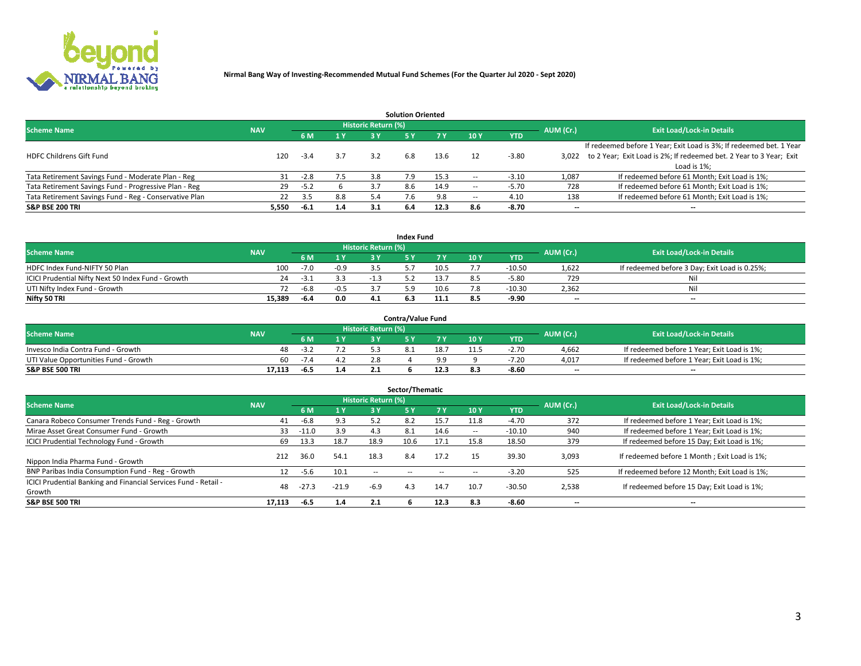

|                                                        |            |            |     |                            | <b>Solution Oriented</b> |      |                          |            |                          |                                                                     |
|--------------------------------------------------------|------------|------------|-----|----------------------------|--------------------------|------|--------------------------|------------|--------------------------|---------------------------------------------------------------------|
| <b>Scheme Name</b>                                     | <b>NAV</b> |            |     | <b>Historic Return (%)</b> |                          |      |                          |            | AUM (Cr.)                | <b>Exit Load/Lock-in Details</b>                                    |
|                                                        |            | <b>6 M</b> | 1 Y | 3 Y                        |                          |      | 10Y                      | <b>YTD</b> |                          |                                                                     |
|                                                        |            |            |     |                            |                          |      |                          |            |                          | If redeemed before 1 Year; Exit Load is 3%; If redeemed bet. 1 Year |
| <b>HDFC Childrens Gift Fund</b>                        | 120        | $-3.4$     | 3.7 | 3.2                        | 6.8                      | 13.6 |                          | $-3.80$    | 3.022                    | to 2 Year; Exit Load is 2%; If redeemed bet. 2 Year to 3 Year; Exit |
|                                                        |            |            |     |                            |                          |      |                          |            |                          | Load is 1%;                                                         |
| Tata Retirement Savings Fund - Moderate Plan - Reg     | 31         | $-2.8$     | 7.5 | 3.8                        | 7.9                      | 15.3 |                          | $-3.10$    | 1,087                    | If redeemed before 61 Month; Exit Load is 1%;                       |
| Tata Retirement Savings Fund - Progressive Plan - Reg  | 29         | $-5.2$     |     |                            | 8.6                      | 14.9 | $\overline{\phantom{a}}$ | $-5.70$    | 728                      | If redeemed before 61 Month; Exit Load is 1%;                       |
| Tata Retirement Savings Fund - Reg - Conservative Plan | 22         | 3.5        | 8.8 | 5.4                        |                          | 9.8  | --                       | 4.10       | 138                      | If redeemed before 61 Month; Exit Load is 1%;                       |
| S&P BSE 200 TRI                                        | 5,550      | $-6.1$     | 1.4 | 3.1                        | 6.4                      | 12.3 | 8.6                      | $-8.70$    | $\overline{\phantom{a}}$ | $- -$                                                               |

|                                                    |                                                         |        |              |     | <b>Index Fund</b> |      |      |            |                          |                                               |  |  |  |
|----------------------------------------------------|---------------------------------------------------------|--------|--------------|-----|-------------------|------|------|------------|--------------------------|-----------------------------------------------|--|--|--|
|                                                    | Historic Return (%)<br><b>Scheme Name</b><br><b>NAV</b> |        |              |     |                   |      |      |            |                          |                                               |  |  |  |
|                                                    |                                                         |        | $\sqrt{1}$ Y | 2 V |                   | 7 V  | 10 Y | <b>YTD</b> | AUM (Cr.)                | <b>Exit Load/Lock-in Details</b>              |  |  |  |
| HDFC Index Fund-NIFTY 50 Plan                      | 100                                                     |        | $-0.9$       |     |                   | 10.5 |      | $-10.50$   | 1,622                    | If redeemed before 3 Day; Exit Load is 0.25%; |  |  |  |
| ICICI Prudential Nifty Next 50 Index Fund - Growth | 24                                                      | -3     |              |     |                   | '3., |      | $-5.80$    | 729                      | Nil                                           |  |  |  |
| UTI Nifty Index Fund - Growth                      |                                                         | $-6.8$ | $-0.5$       |     |                   | 10.6 |      | $-10.30$   | 2,362                    | Nil                                           |  |  |  |
| Nifty 50 TRI                                       | 15.389                                                  | -6.4   | 0.0          |     |                   | 11.1 |      | $-9.90$    | $\overline{\phantom{a}}$ | $- -$                                         |  |  |  |

|                                       |            |      |     |                            | <b>Contra/Value Fund</b> |      |     |            |                          |                                             |
|---------------------------------------|------------|------|-----|----------------------------|--------------------------|------|-----|------------|--------------------------|---------------------------------------------|
| <b>Scheme Name</b>                    | <b>NAV</b> |      |     | <b>Historic Return (%)</b> |                          |      |     |            | AUM (Cr.)                | <b>Exit Load/Lock-in Details</b>            |
|                                       |            |      | 1 V |                            |                          | 7 V  | 10Y | <b>YTD</b> |                          |                                             |
| Invesco India Contra Fund - Growth    | 48         | -5.  |     |                            |                          | 18.7 |     | $-2.70$    | 4,662                    | If redeemed before 1 Year; Exit Load is 1%; |
| UTI Value Opportunities Fund - Growth | 60         | -7.4 |     |                            |                          |      |     | -7.20      | 4,017                    | If redeemed before 1 Year; Exit Load is 1%; |
| <b>S&amp;P BSE 500 TRI</b>            | 17.113     | -6.5 | 1.4 |                            |                          |      |     | $-8.60$    | $\overline{\phantom{a}}$ | $- -$                                       |

| Sector/Thematic                                                           |            |         |                |                            |           |           |                          |            |           |                                               |  |  |  |  |
|---------------------------------------------------------------------------|------------|---------|----------------|----------------------------|-----------|-----------|--------------------------|------------|-----------|-----------------------------------------------|--|--|--|--|
| <b>Scheme Name</b>                                                        | <b>NAV</b> |         |                | <b>Historic Return (%)</b> |           |           |                          |            | AUM (Cr.) | <b>Exit Load/Lock-in Details</b>              |  |  |  |  |
|                                                                           |            | 6 M     | 1 <sub>Y</sub> | 3 Y                        | <b>5Y</b> | <b>7Y</b> | 10Y                      | <b>YTD</b> |           |                                               |  |  |  |  |
| Canara Robeco Consumer Trends Fund - Reg - Growth                         | 41         | $-6.8$  | 9.3            | 5.2                        | 8.2       | 15.7      | 11.8                     | $-4.70$    | 372       | If redeemed before 1 Year; Exit Load is 1%;   |  |  |  |  |
| Mirae Asset Great Consumer Fund - Growth                                  | 33         | $-11.0$ | 3.9            | 4.3                        | 8.1       | 14.6      | $\overline{\phantom{a}}$ | $-10.10$   | 940       | If redeemed before 1 Year; Exit Load is 1%;   |  |  |  |  |
| <b>ICICI Prudential Technology Fund - Growth</b>                          | 69         | 13.3    | 18.7           | 18.9                       | 10.6      | 17.1      | 15.8                     | 18.50      | 379       | If redeemed before 15 Day; Exit Load is 1%;   |  |  |  |  |
| Nippon India Pharma Fund - Growth                                         | 212        | 36.0    | 54.1           | 18.3                       | 8.4       | 17.2      |                          | 39.30      | 3,093     | If redeemed before 1 Month; Exit Load is 1%;  |  |  |  |  |
| BNP Paribas India Consumption Fund - Reg - Growth                         | 12         | $-5.6$  | 10.1           | --                         |           |           | -                        | $-3.20$    | 525       | If redeemed before 12 Month; Exit Load is 1%; |  |  |  |  |
| ICICI Prudential Banking and Financial Services Fund - Retail -<br>Growth | 48         | $-27.3$ | $-21.9$        | $-6.9$                     | 4.3       | 14.7      | 10.7                     | $-30.50$   | 2,538     | If redeemed before 15 Day; Exit Load is 1%;   |  |  |  |  |
| <b>S&amp;P BSE 500 TRI</b>                                                | 17.113     | $-6.5$  | 1.4            | 2.1                        |           | 12.3      | 8.3                      | $-8.60$    |           | --                                            |  |  |  |  |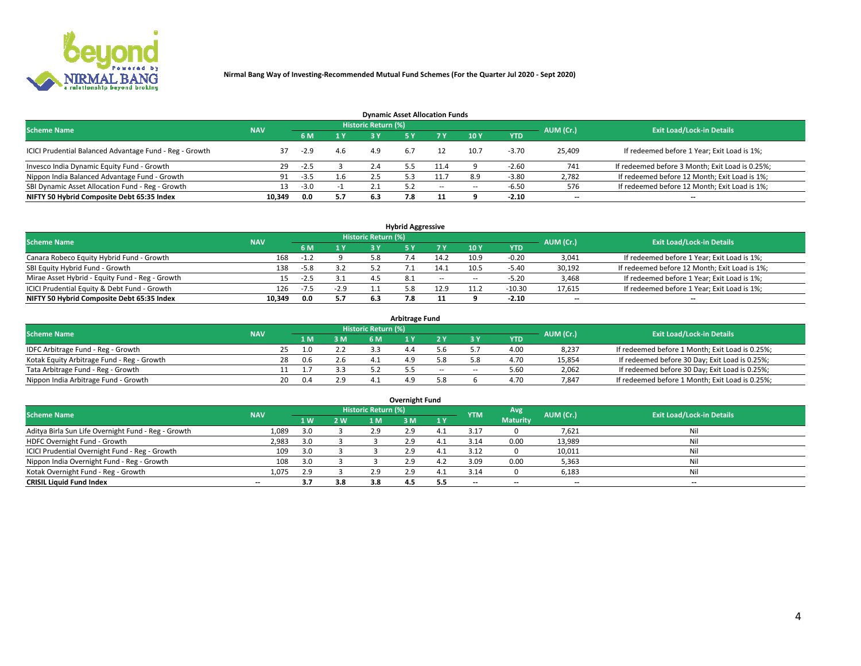

| <b>Dynamic Asset Allocation Funds</b>                   |                                                                                                          |        |                         |     |     |        |        |            |                          |                                                 |  |  |  |  |  |
|---------------------------------------------------------|----------------------------------------------------------------------------------------------------------|--------|-------------------------|-----|-----|--------|--------|------------|--------------------------|-------------------------------------------------|--|--|--|--|--|
|                                                         | Historic Return (%)<br><b>Exit Load/Lock-in Details</b><br>AUM (Cr.)<br><b>Scheme Name</b><br><b>NAV</b> |        |                         |     |     |        |        |            |                          |                                                 |  |  |  |  |  |
|                                                         |                                                                                                          |        | $\mathbf{1} \mathbf{V}$ | 2 V |     |        | 10 Y   | <b>YTD</b> |                          |                                                 |  |  |  |  |  |
| ICICI Prudential Balanced Advantage Fund - Reg - Growth |                                                                                                          | $-2.9$ | 4.6                     | 4.9 |     |        | 10.7   | $-3.70$    | 25,409                   | If redeemed before 1 Year; Exit Load is 1%;     |  |  |  |  |  |
| Invesco India Dynamic Equity Fund - Growth              | 29                                                                                                       | $-2.5$ |                         | 2.4 |     | .1.4   |        | $-2.60$    | 741                      | If redeemed before 3 Month; Exit Load is 0.25%; |  |  |  |  |  |
| Nippon India Balanced Advantage Fund - Growth           | 91                                                                                                       | $-3.5$ | 1.6                     |     |     |        |        | $-3.80$    | 2,782                    | If redeemed before 12 Month; Exit Load is 1%;   |  |  |  |  |  |
| SBI Dynamic Asset Allocation Fund - Reg - Growth        |                                                                                                          | $-3.0$ |                         |     |     | $\sim$ | $\sim$ | -6.50      | 576                      | If redeemed before 12 Month; Exit Load is 1%;   |  |  |  |  |  |
| NIFTY 50 Hybrid Composite Debt 65:35 Index              | 10.349                                                                                                   | 0.0    | 5.7                     | 6.3 | 7.8 |        |        | $-2.10$    | $\overline{\phantom{a}}$ | $- -$                                           |  |  |  |  |  |

| <b>Hybrid Aggressive</b>                        |                                                                                                                 |             |                       |     |  |            |            |            |        |                                               |  |  |  |  |  |
|-------------------------------------------------|-----------------------------------------------------------------------------------------------------------------|-------------|-----------------------|-----|--|------------|------------|------------|--------|-----------------------------------------------|--|--|--|--|--|
|                                                 | <b>Historic Return (%)</b><br><b>Exit Load/Lock-in Details</b><br>AUM (Cr.)<br><b>Scheme Name</b><br><b>NAV</b> |             |                       |     |  |            |            |            |        |                                               |  |  |  |  |  |
|                                                 |                                                                                                                 |             | $\sqrt{1}$ $\sqrt{2}$ | R V |  |            | <b>10Y</b> | <b>YTD</b> |        |                                               |  |  |  |  |  |
| Canara Robeco Equity Hybrid Fund - Growth       | 168                                                                                                             | $-1$ $\sim$ |                       |     |  | 14.2       | 10.9       | $-0.20$    | 3,041  | If redeemed before 1 Year; Exit Load is 1%;   |  |  |  |  |  |
| SBI Equity Hybrid Fund - Growth                 | 138                                                                                                             | $-5.8$      |                       |     |  | 14.1       | 10.5       | $-5.40$    | 30,192 | If redeemed before 12 Month; Exit Load is 1%; |  |  |  |  |  |
| Mirae Asset Hybrid - Equity Fund - Reg - Growth | 15.                                                                                                             | $-2.5$      | 3.1                   |     |  | $\sim$ $-$ | $\sim$     | $-5.20$    | 3,468  | If redeemed before 1 Year; Exit Load is 1%;   |  |  |  |  |  |
| ICICI Prudential Equity & Debt Fund - Growth    | 126                                                                                                             | $-7.5$      | $-2.9$                |     |  | 12.9       |            | $-10.30$   | 17,615 | If redeemed before 1 Year; Exit Load is 1%;   |  |  |  |  |  |
| NIFTY 50 Hybrid Composite Debt 65:35 Index      | 10.349                                                                                                          | 0.0         | 5.7                   |     |  |            |            | $-2.10$    | --     | $- -$                                         |  |  |  |  |  |

| <b>Arbitrage Fund</b>                      |            |      |     |                     |     |        |        |            |           |                                                 |  |  |  |  |
|--------------------------------------------|------------|------|-----|---------------------|-----|--------|--------|------------|-----------|-------------------------------------------------|--|--|--|--|
| <b>Scheme Name</b>                         | <b>NAV</b> |      |     | Historic Return (%) |     |        |        |            | AUM (Cr.) | <b>Exit Load/Lock-in Details</b>                |  |  |  |  |
|                                            |            | L M. | 3 M | <b>6M</b>           |     |        |        | <b>YTD</b> |           |                                                 |  |  |  |  |
| IDFC Arbitrage Fund - Reg - Growth         | 25         | 1.0  | 2.2 |                     | 4.4 |        |        | 4.00       | 8,237     | If redeemed before 1 Month; Exit Load is 0.25%; |  |  |  |  |
| Kotak Equity Arbitrage Fund - Reg - Growth | 28         | 0.6  | 2.6 |                     |     |        |        | 4.70       | 15,854    | If redeemed before 30 Day; Exit Load is 0.25%;  |  |  |  |  |
| Tata Arbitrage Fund - Reg - Growth         |            |      |     |                     |     | $\sim$ | $\sim$ | 5.60       | 2,062     | If redeemed before 30 Day; Exit Load is 0.25%;  |  |  |  |  |
| Nippon India Arbitrage Fund - Growth       | 20         | 0.4  | 2.9 |                     |     |        |        | 4.70       | 7.847     | If redeemed before 1 Month; Exit Load is 0.25%; |  |  |  |  |

| Overnight Fund                                      |            |     |     |                     |     |           |            |                 |                          |                                  |  |  |  |  |
|-----------------------------------------------------|------------|-----|-----|---------------------|-----|-----------|------------|-----------------|--------------------------|----------------------------------|--|--|--|--|
| <b>Scheme Name</b>                                  | <b>NAV</b> |     |     | Historic Return (%) |     |           | <b>YTM</b> | Avg             | AUM (Cr.)                | <b>Exit Load/Lock-in Details</b> |  |  |  |  |
|                                                     |            | 1W  | 2 W | 1 M                 | : M | <b>1Y</b> |            | <b>Maturity</b> |                          |                                  |  |  |  |  |
| Aditya Birla Sun Life Overnight Fund - Reg - Growth | 1,089      | 3.0 |     | 2.9                 | 2.9 | 4.        | $3.1^-$    |                 | 7,621                    | Nil                              |  |  |  |  |
| HDFC Overnight Fund - Growth                        | 2,983      | 3.0 |     |                     | 2.9 |           | 3.14       | 0.00            | 13,989                   | Nil                              |  |  |  |  |
| ICICI Prudential Overnight Fund - Reg - Growth      | 109        | 3.0 |     |                     | 2.9 |           | 3.12       |                 | 10,011                   | Nil                              |  |  |  |  |
| Nippon India Overnight Fund - Reg - Growth          | 108        | 3.0 |     |                     | 2.9 | 4.Z       | 3.09       | 0.00            | 5,363                    | Nil                              |  |  |  |  |
| Kotak Overnight Fund - Reg - Growth                 | 1,075      | 2.9 |     | 2.9                 |     |           | 3.14       |                 | 6,183                    | Nil                              |  |  |  |  |
| <b>CRISIL Liquid Fund Index</b>                     | $- -$      | 3.7 | 3.8 | 3.8                 | 4.5 | 5.5       | --         | $- -$           | $\overline{\phantom{a}}$ | $- -$                            |  |  |  |  |

#### **Overnight Fund**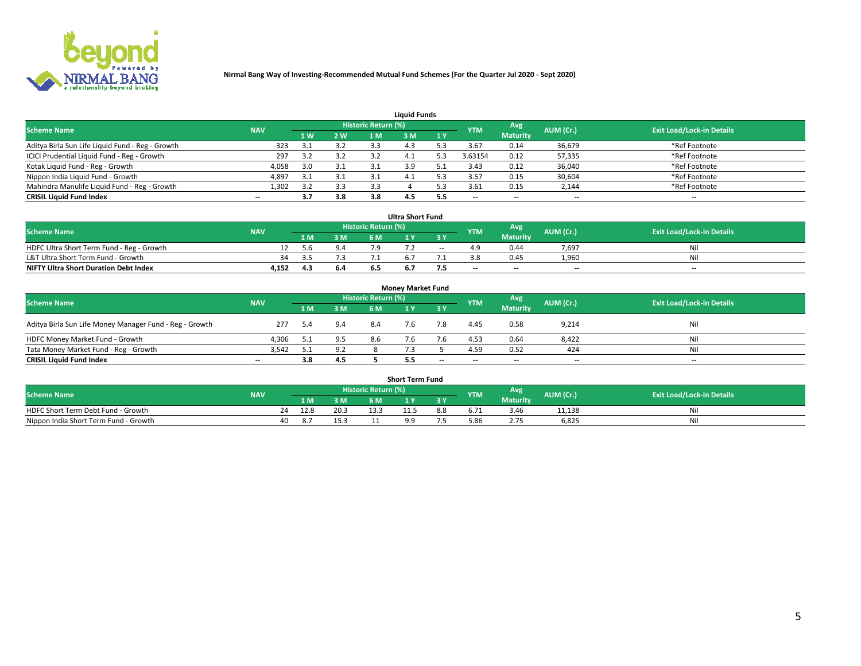

| <b>Liquid Funds</b>                              |            |     |     |                            |     |     |                          |                 |                          |                                  |  |  |  |  |
|--------------------------------------------------|------------|-----|-----|----------------------------|-----|-----|--------------------------|-----------------|--------------------------|----------------------------------|--|--|--|--|
| <b>Scheme Name</b>                               | <b>NAV</b> |     |     | <b>Historic Return (%)</b> |     |     | <b>YTM</b>               | Avg             | AUM (Cr.)                | <b>Exit Load/Lock-in Details</b> |  |  |  |  |
|                                                  |            | 1 W | 2 W | 1 M                        | ዩ M | 1Y  |                          | <b>Maturity</b> |                          |                                  |  |  |  |  |
| Aditya Birla Sun Life Liquid Fund - Reg - Growth | 323        |     | 3.2 | 3.3                        |     |     | 3.67                     | 0.14            | 36,679                   | *Ref Footnote                    |  |  |  |  |
| ICICI Prudential Liquid Fund - Reg - Growth      | 297        |     | 3.2 |                            | 4.⊥ |     | 3.63154                  | 0.12            | 57,335                   | *Ref Footnote                    |  |  |  |  |
| Kotak Liquid Fund - Reg - Growth                 | 4,058      | 3.0 | 3.1 |                            | 3.9 |     | 3.43                     | 0.12            | 36,040                   | *Ref Footnote                    |  |  |  |  |
| Nippon India Liquid Fund - Growth                | 4,897      | 3.1 | 3.1 |                            | 4.1 |     | 3.57                     | 0.15            | 30,604                   | *Ref Footnote                    |  |  |  |  |
| Mahindra Manulife Liquid Fund - Reg - Growth     | 1,302      | っっ  | 3.3 | 3.3                        |     |     | 3.61                     | 0.15            | 2,144                    | *Ref Footnote                    |  |  |  |  |
| <b>CRISIL Liquid Fund Index</b>                  | $- -$      | 3.7 | 3.8 | 3.8                        | 4.3 | 5.5 | $\overline{\phantom{a}}$ | $- -$           | $\overline{\phantom{a}}$ | $\overline{\phantom{m}}$         |  |  |  |  |

|                                              | <b>Ultra Short Fund</b> |      |     |                            |     |        |            |                 |                          |                                  |  |  |  |  |
|----------------------------------------------|-------------------------|------|-----|----------------------------|-----|--------|------------|-----------------|--------------------------|----------------------------------|--|--|--|--|
| <b>Scheme Name</b>                           | <b>NAV</b>              |      |     | <b>Historic Return (%)</b> |     |        | <b>YTM</b> | <b>Avg</b>      | AUM (Cr.)                | <b>Exit Load/Lock-in Details</b> |  |  |  |  |
|                                              |                         | 1 M  | 3 M | 6 M                        |     | 3 Y    |            | <b>Maturity</b> |                          |                                  |  |  |  |  |
| HDFC Ultra Short Term Fund - Reg - Growth    |                         | .5.b | 9.4 |                            |     | $\sim$ |            | 0.44            | 7,697                    | Nil                              |  |  |  |  |
| L&T Ultra Short Term Fund - Growth           | 34                      | -25  |     |                            |     |        |            | 0.45            | 1.960                    | Nil                              |  |  |  |  |
| <b>NIFTY Ultra Short Duration Debt Index</b> | 4,152                   | 4.3  | 6.4 |                            | b.7 |        | $-$        | $- -$           | $\overline{\phantom{a}}$ | $- -$                            |  |  |  |  |

| <b>Monev Market Fund</b>                                                                                                       |       |      |     |     |     |                          |                          |                 |                          |                          |  |  |  |  |
|--------------------------------------------------------------------------------------------------------------------------------|-------|------|-----|-----|-----|--------------------------|--------------------------|-----------------|--------------------------|--------------------------|--|--|--|--|
| Historic Return (%)<br>Avg.<br><b>Scheme Name</b><br><b>Exit Load/Lock-in Details</b><br>AUM (Cr.)<br><b>NAV</b><br><b>YTM</b> |       |      |     |     |     |                          |                          |                 |                          |                          |  |  |  |  |
|                                                                                                                                |       | 1 M  | 3 M | 6 M |     | 3 Y                      |                          | <b>Maturity</b> |                          |                          |  |  |  |  |
| Aditya Birla Sun Life Money Manager Fund - Reg - Growth                                                                        | 277   | -5.4 | 9.4 | 8.4 |     |                          | 4.45                     | 0.58            | 9,214                    | Nil                      |  |  |  |  |
| HDFC Money Market Fund - Growth                                                                                                | 4.306 |      |     | 8.6 |     |                          | 4.53                     | 0.64            | 8,422                    | Nil                      |  |  |  |  |
| Tata Money Market Fund - Reg - Growth                                                                                          | 3,542 | 51   | 9.2 |     |     |                          | 4.59                     | 0.52            | 424                      | Nil                      |  |  |  |  |
| <b>CRISIL Liquid Fund Index</b>                                                                                                | $- -$ | 3.8  | 4.5 |     | 5.5 | $\overline{\phantom{a}}$ | $\overline{\phantom{a}}$ | $-$             | $\overline{\phantom{a}}$ | $\overline{\phantom{a}}$ |  |  |  |  |

|                                       |            |       |      |                     | <b>Short Term Fund</b> |     |      |                 |           |                                  |
|---------------------------------------|------------|-------|------|---------------------|------------------------|-----|------|-----------------|-----------|----------------------------------|
| <b>Scheme Name</b>                    | <b>NAV</b> |       |      | Historic Return (%) |                        |     | YTM  | Avg             | AUM (Cr.) | <b>Exit Load/Lock-in Details</b> |
|                                       |            | 1 M . | 3 M  | 6 M                 | l M                    | 2V  |      | <b>Maturity</b> |           |                                  |
| HDFC Short Term Debt Fund - Growth    | 24         | 12.8  | 20.3 |                     | 11.5                   | 8.8 | 5.71 | 3.46            | 11,138    | M                                |
| Nippon India Short Term Fund - Growth | 40         |       |      |                     |                        |     | 5.86 |                 | 6,825     | N                                |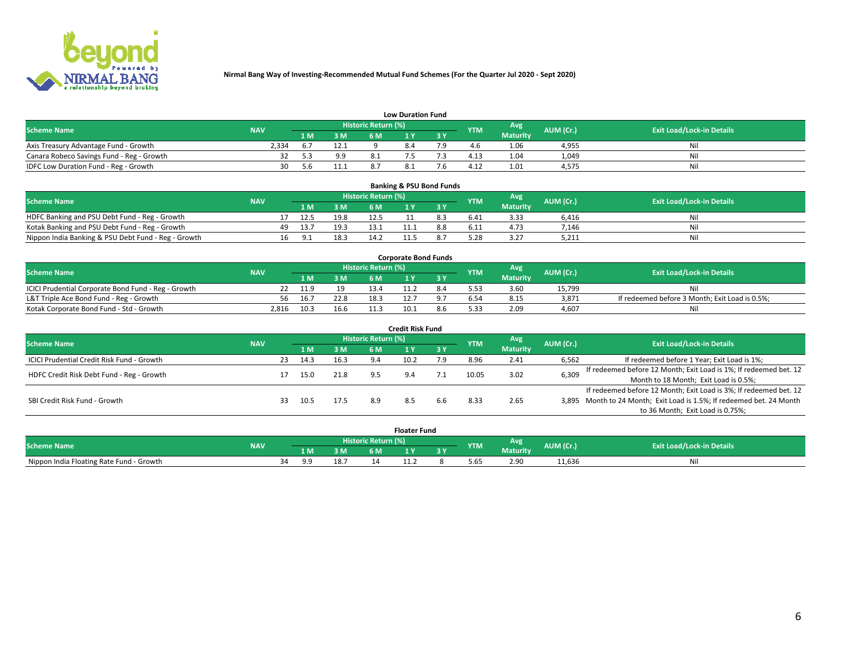

|                                           | <b>Low Duration Fund</b> |      |      |                            |  |  |            |                 |           |                                  |  |  |  |  |  |
|-------------------------------------------|--------------------------|------|------|----------------------------|--|--|------------|-----------------|-----------|----------------------------------|--|--|--|--|--|
| <b>Scheme Name</b>                        | <b>NAV</b>               |      |      | <b>Historic Return (%)</b> |  |  | <b>YTM</b> | Avg             | AUM (Cr.) | <b>Exit Load/Lock-in Details</b> |  |  |  |  |  |
|                                           |                          | 1 M. | 3 M  |                            |  |  |            | <b>Maturity</b> |           |                                  |  |  |  |  |  |
| Axis Treasury Advantage Fund - Growth     | 2.334                    |      | 12.1 |                            |  |  |            | 1.06            | 4,955     | Nil                              |  |  |  |  |  |
| Canara Robeco Savings Fund - Reg - Growth |                          |      | 9.9  |                            |  |  |            | .04             | 1,049     | Nil                              |  |  |  |  |  |
| IDFC Low Duration Fund - Reg - Growth     | 30                       | 5.6  | 11.1 |                            |  |  | 4.12       | 1.01            | 4,575     | Nil                              |  |  |  |  |  |

| <b>Banking &amp; PSU Bond Funds</b>                 |            |    |            |      |                            |  |  |            |                 |           |                                  |  |  |  |
|-----------------------------------------------------|------------|----|------------|------|----------------------------|--|--|------------|-----------------|-----------|----------------------------------|--|--|--|
| <b>Scheme Name</b>                                  | <b>NAV</b> |    |            |      | <b>Historic Return (%)</b> |  |  | <b>YTM</b> | Avg             | AUM (Cr.) | <b>Exit Load/Lock-in Details</b> |  |  |  |
|                                                     |            |    |            | 3 M  | 6 M                        |  |  |            | <b>Maturity</b> |           |                                  |  |  |  |
| HDFC Banking and PSU Debt Fund - Reg - Growth       |            |    | 12.5       | 19.8 | 12.5                       |  |  | 6.41       | 3.33            | 6.416     | Nil                              |  |  |  |
| Kotak Banking and PSU Debt Fund - Reg - Growth      |            | 49 | 13.7       | 19.3 |                            |  |  | 6.11       | 4.73            | 7.146     | Ni                               |  |  |  |
| Nippon India Banking & PSU Debt Fund - Reg - Growth |            | 16 | <b>Q</b> 1 | 18.3 | 14.2                       |  |  | 5.28       | 3.27            | 5,211     | Nil                              |  |  |  |

| <b>Corporate Bond Funds</b>                         |            |      |      |                            |      |  |            |          |           |                                                |  |  |  |  |
|-----------------------------------------------------|------------|------|------|----------------------------|------|--|------------|----------|-----------|------------------------------------------------|--|--|--|--|
| <b>Scheme Name</b>                                  | <b>NAV</b> |      |      | <b>Historic Return (%)</b> |      |  | <b>YTM</b> | Avg      | AUM (Cr.) | <b>Exit Load/Lock-in Details</b>               |  |  |  |  |
|                                                     |            |      | 3 M  | 6 M                        |      |  |            | Maturity |           |                                                |  |  |  |  |
| ICICI Prudential Corporate Bond Fund - Reg - Growth |            | 11.9 |      | 13.4                       |      |  |            | 3.60     | 15.799    | Nil                                            |  |  |  |  |
| L&T Triple Ace Bond Fund - Reg - Growth             | 56         | 16.7 | 22.8 | 18.5                       |      |  |            | 8.15     | 3,871     | If redeemed before 3 Month; Exit Load is 0.5%; |  |  |  |  |
| Kotak Corporate Bond Fund - Std - Growth            | 2.816      | 10.3 | 16.6 |                            | 10.1 |  | 5.33       | 2.09     | 4.607     | Nil                                            |  |  |  |  |

| <b>Credit Risk Fund</b>                    |            |    |      |      |                            |      |           |            |                 |           |                                                                       |  |  |  |
|--------------------------------------------|------------|----|------|------|----------------------------|------|-----------|------------|-----------------|-----------|-----------------------------------------------------------------------|--|--|--|
| <b>Scheme Name</b>                         | <b>NAV</b> |    |      |      | <b>Historic Return (%)</b> |      |           | <b>YTM</b> | Avg             | AUM (Cr.) | <b>Exit Load/Lock-in Details</b>                                      |  |  |  |
|                                            |            |    | 1 M  | 3 M  | 6 M                        |      | <b>3Y</b> |            | <b>Maturity</b> |           |                                                                       |  |  |  |
| ICICI Prudential Credit Risk Fund - Growth |            | 23 | 14.3 | 16.3 | 9.4                        | 10.2 | 7.9       | 8.96       | 2.41            | 6,562     | If redeemed before 1 Year; Exit Load is 1%;                           |  |  |  |
| HDFC Credit Risk Debt Fund - Reg - Growth  |            |    | 15.0 | 21.8 |                            |      |           | 10.05      | 3.02            | 6,309     | If redeemed before 12 Month; Exit Load is 1%; If redeemed bet. 12     |  |  |  |
|                                            |            |    |      |      |                            |      |           |            |                 |           | Month to 18 Month; Exit Load is 0.5%;                                 |  |  |  |
|                                            |            |    |      |      |                            |      |           |            |                 |           | If redeemed before 12 Month; Exit Load is 3%; If redeemed bet. 12     |  |  |  |
| SBI Credit Risk Fund - Growth              |            |    | 10.5 | 17.5 | 8.9                        | 8.5  | 6.6       | 8.33       | 2.65            |           | 3,895 Month to 24 Month; Exit Load is 1.5%; If redeemed bet. 24 Month |  |  |  |
|                                            |            |    |      |      |                            |      |           |            |                 |           | to 36 Month; Exit Load is 0.75%;                                      |  |  |  |

| <b>Floater Fund</b>                      |            |                            |     |      |      |         |     |            |                 |           |                                  |
|------------------------------------------|------------|----------------------------|-----|------|------|---------|-----|------------|-----------------|-----------|----------------------------------|
| <b>Scheme Name</b>                       | <b>NAV</b> | <b>Historic Return (%)</b> |     |      |      |         |     | <b>YTM</b> | Avg             | AUM (Cr.) | <b>Exit Load/Lock-in Details</b> |
|                                          |            |                            | 1 M | 3 M  | 6 M' | i v     | י כ |            | <b>Maturity</b> |           |                                  |
| Nippon India Floating Rate Fund - Growth |            | ≺⊿                         | ه ه | 18.7 |      | <b></b> |     | 5.65       | 2.90            | 11,636    | Νı                               |